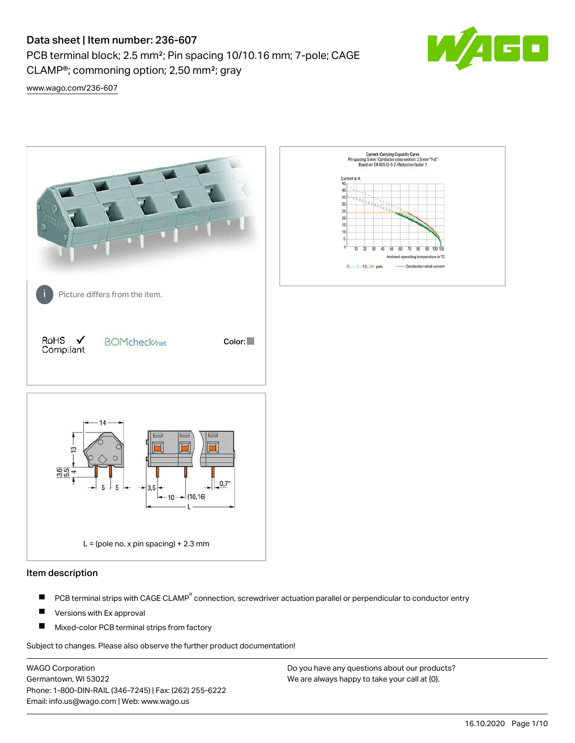CLAMP®; commoning option; 2,50 mm²; gray

PCB terminal block; 2.5 mm²; Pin spacing 10/10.16 mm; 7-pole; CAGE



[www.wago.com/236-607](http://www.wago.com/236-607)



## Item description

- PCB terminal strips with CAGE CLAMP<sup>®</sup> connection, screwdriver actuation parallel or perpendicular to conductor entry П
- П Versions with Ex approval
- П Mixed-color PCB terminal strips from factory

Subject to changes. Please also observe the further product documentation!

WAGO Corporation Germantown, WI 53022 Phone: 1-800-DIN-RAIL (346-7245) | Fax: (262) 255-6222 Email: info.us@wago.com | Web: www.wago.us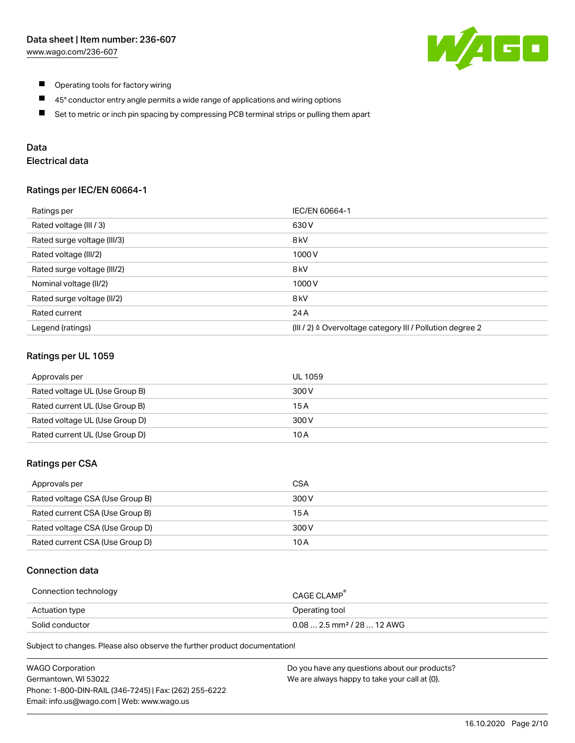

- $\blacksquare$ Operating tools for factory wiring
- $\blacksquare$ 45° conductor entry angle permits a wide range of applications and wiring options
- $\blacksquare$ Set to metric or inch pin spacing by compressing PCB terminal strips or pulling them apart

## Data

# Electrical data

## Ratings per IEC/EN 60664-1

| Ratings per                 | IEC/EN 60664-1                                                        |
|-----------------------------|-----------------------------------------------------------------------|
| Rated voltage (III / 3)     | 630 V                                                                 |
| Rated surge voltage (III/3) | 8 <sub>kV</sub>                                                       |
| Rated voltage (III/2)       | 1000V                                                                 |
| Rated surge voltage (III/2) | 8 <sub>kV</sub>                                                       |
| Nominal voltage (II/2)      | 1000V                                                                 |
| Rated surge voltage (II/2)  | 8 <sub>kV</sub>                                                       |
| Rated current               | 24 A                                                                  |
| Legend (ratings)            | $(III / 2)$ $\triangle$ Overvoltage category III / Pollution degree 2 |

## Ratings per UL 1059

| Approvals per                  | UL 1059 |
|--------------------------------|---------|
| Rated voltage UL (Use Group B) | 300 V   |
| Rated current UL (Use Group B) | 15 A    |
| Rated voltage UL (Use Group D) | 300 V   |
| Rated current UL (Use Group D) | 10 A    |

## Ratings per CSA

| Approvals per                   | CSA   |
|---------------------------------|-------|
| Rated voltage CSA (Use Group B) | 300 V |
| Rated current CSA (Use Group B) | 15 A  |
| Rated voltage CSA (Use Group D) | 300 V |
| Rated current CSA (Use Group D) | 10 A  |

## Connection data

| Connection technology | CAGE CLAMP                              |
|-----------------------|-----------------------------------------|
| Actuation type        | Operating tool                          |
| Solid conductor       | $0.08$ 2.5 mm <sup>2</sup> / 28  12 AWG |

Subject to changes. Please also observe the further product documentation!

| <b>WAGO Corporation</b>                                | Do you have any questions about our products? |
|--------------------------------------------------------|-----------------------------------------------|
| Germantown, WI 53022                                   | We are always happy to take your call at {0}. |
| Phone: 1-800-DIN-RAIL (346-7245)   Fax: (262) 255-6222 |                                               |
| Email: info.us@wago.com   Web: www.wago.us             |                                               |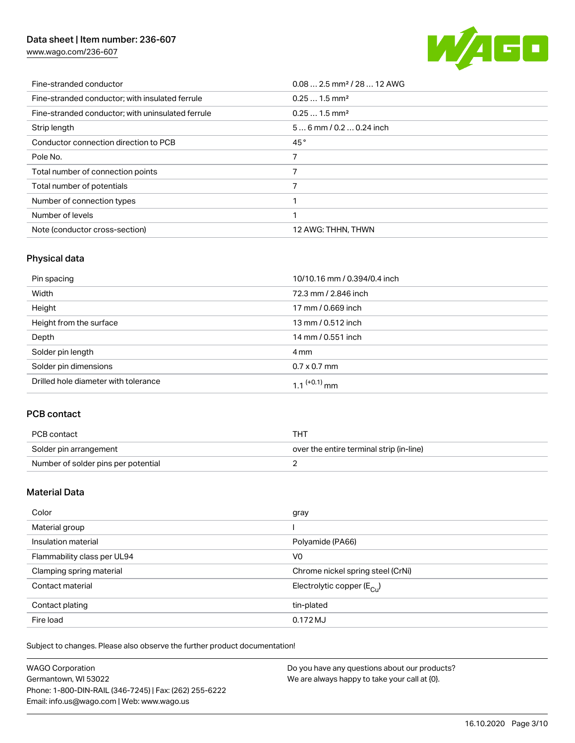[www.wago.com/236-607](http://www.wago.com/236-607)



| Fine-stranded conductor                           | $0.08$ 2.5 mm <sup>2</sup> / 28  12 AWG |
|---------------------------------------------------|-----------------------------------------|
| Fine-stranded conductor; with insulated ferrule   | $0.251.5$ mm <sup>2</sup>               |
| Fine-stranded conductor; with uninsulated ferrule | $0.251.5$ mm <sup>2</sup>               |
| Strip length                                      | $56$ mm $/ 0.20.24$ inch                |
| Conductor connection direction to PCB             | 45°                                     |
| Pole No.                                          |                                         |
| Total number of connection points                 | 7                                       |
| Total number of potentials                        |                                         |
| Number of connection types                        |                                         |
| Number of levels                                  | ◀                                       |
| Note (conductor cross-section)                    | 12 AWG: THHN, THWN                      |

# Physical data

| Pin spacing                          | 10/10.16 mm / 0.394/0.4 inch |
|--------------------------------------|------------------------------|
| Width                                | 72.3 mm / 2.846 inch         |
| Height                               | 17 mm / 0.669 inch           |
| Height from the surface              | 13 mm / 0.512 inch           |
| Depth                                | 14 mm / 0.551 inch           |
| Solder pin length                    | 4 mm                         |
| Solder pin dimensions                | $0.7 \times 0.7$ mm          |
| Drilled hole diameter with tolerance | $1.1$ <sup>(+0.1)</sup> mm   |

# PCB contact

| PCB contact                         | тнт                                      |
|-------------------------------------|------------------------------------------|
| Solder pin arrangement              | over the entire terminal strip (in-line) |
| Number of solder pins per potential |                                          |

## Material Data

| Color                       | gray                                  |
|-----------------------------|---------------------------------------|
| Material group              |                                       |
| Insulation material         | Polyamide (PA66)                      |
| Flammability class per UL94 | V <sub>0</sub>                        |
| Clamping spring material    | Chrome nickel spring steel (CrNi)     |
| Contact material            | Electrolytic copper $(E_{\text{CL}})$ |
| Contact plating             | tin-plated                            |
| Fire load                   | 0.172 MJ                              |

Subject to changes. Please also observe the further product documentation!

| <b>WAGO Corporation</b>                                | Do you have any questions about our products? |
|--------------------------------------------------------|-----------------------------------------------|
| Germantown, WI 53022                                   | We are always happy to take your call at {0}. |
| Phone: 1-800-DIN-RAIL (346-7245)   Fax: (262) 255-6222 |                                               |
| Email: info.us@wago.com   Web: www.wago.us             |                                               |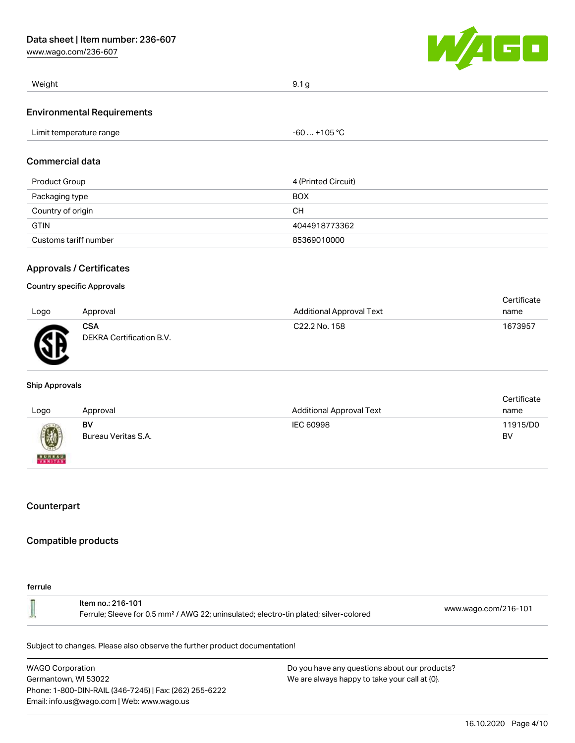[www.wago.com/236-607](http://www.wago.com/236-607)



| Weight                            | 9.1 <sub>g</sub> |
|-----------------------------------|------------------|
| <b>Environmental Requirements</b> |                  |
| Limit temperature range           | $-60+105 °C$     |
| <b>Commercial data</b>            |                  |

| Product Group         | 4 (Printed Circuit) |
|-----------------------|---------------------|
| Packaging type        | <b>BOX</b>          |
| Country of origin     | CН                  |
| <b>GTIN</b>           | 4044918773362       |
| Customs tariff number | 85369010000         |

## Approvals / Certificates

#### Country specific Approvals

|      |                                        |                           | Certificate |
|------|----------------------------------------|---------------------------|-------------|
| Logo | Approval                               | Additional Approval Text  | name        |
| ÆF   | <b>CSA</b><br>DEKRA Certification B.V. | C <sub>22.2</sub> No. 158 | 1673957     |

#### Ship Approvals

| Logo                     | Approval                  | <b>Additional Approval Text</b> | Certificate<br>name |
|--------------------------|---------------------------|---------------------------------|---------------------|
| 國                        | BV<br>Bureau Veritas S.A. | IEC 60998                       | 11915/D0<br>BV      |
| <b>BUREAU</b><br>VERITAS |                           |                                 |                     |

## **Counterpart**

## Compatible products

#### ferrule

| ltem no.: 216-101<br>Ferrule; Sleeve for 0.5 mm <sup>2</sup> / AWG 22; uninsulated; electro-tin plated; silver-colored | www.wago.com/216-101 |
|------------------------------------------------------------------------------------------------------------------------|----------------------|
|------------------------------------------------------------------------------------------------------------------------|----------------------|

Subject to changes. Please also observe the further product documentation!

WAGO Corporation Germantown, WI 53022 Phone: 1-800-DIN-RAIL (346-7245) | Fax: (262) 255-6222 Email: info.us@wago.com | Web: www.wago.us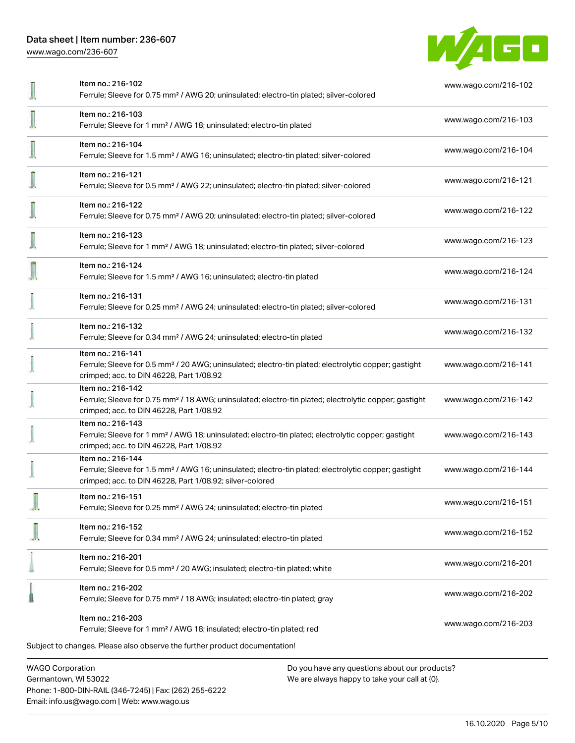[www.wago.com/236-607](http://www.wago.com/236-607)



| Item no.: 216-102<br>Ferrule; Sleeve for 0.75 mm <sup>2</sup> / AWG 20; uninsulated; electro-tin plated; silver-colored                                                                           | www.wago.com/216-102 |
|---------------------------------------------------------------------------------------------------------------------------------------------------------------------------------------------------|----------------------|
| Item no.: 216-103<br>Ferrule; Sleeve for 1 mm <sup>2</sup> / AWG 18; uninsulated; electro-tin plated                                                                                              | www.wago.com/216-103 |
| Item no.: 216-104<br>Ferrule; Sleeve for 1.5 mm <sup>2</sup> / AWG 16; uninsulated; electro-tin plated; silver-colored                                                                            | www.wago.com/216-104 |
| Item no.: 216-121<br>Ferrule; Sleeve for 0.5 mm <sup>2</sup> / AWG 22; uninsulated; electro-tin plated; silver-colored                                                                            | www.wago.com/216-121 |
| Item no.: 216-122<br>Ferrule; Sleeve for 0.75 mm <sup>2</sup> / AWG 20; uninsulated; electro-tin plated; silver-colored                                                                           | www.wago.com/216-122 |
| Item no.: 216-123<br>Ferrule; Sleeve for 1 mm <sup>2</sup> / AWG 18; uninsulated; electro-tin plated; silver-colored                                                                              | www.wago.com/216-123 |
| Item no.: 216-124<br>Ferrule; Sleeve for 1.5 mm <sup>2</sup> / AWG 16; uninsulated; electro-tin plated                                                                                            | www.wago.com/216-124 |
| Item no.: 216-131<br>Ferrule; Sleeve for 0.25 mm <sup>2</sup> / AWG 24; uninsulated; electro-tin plated; silver-colored                                                                           | www.wago.com/216-131 |
| Item no.: 216-132<br>Ferrule; Sleeve for 0.34 mm <sup>2</sup> / AWG 24; uninsulated; electro-tin plated                                                                                           | www.wago.com/216-132 |
| Item no.: 216-141<br>Ferrule; Sleeve for 0.5 mm <sup>2</sup> / 20 AWG; uninsulated; electro-tin plated; electrolytic copper; gastight<br>crimped; acc. to DIN 46228, Part 1/08.92                 | www.wago.com/216-141 |
| Item no.: 216-142<br>Ferrule; Sleeve for 0.75 mm <sup>2</sup> / 18 AWG; uninsulated; electro-tin plated; electrolytic copper; gastight<br>crimped; acc. to DIN 46228, Part 1/08.92                | www.wago.com/216-142 |
| Item no.: 216-143<br>Ferrule; Sleeve for 1 mm <sup>2</sup> / AWG 18; uninsulated; electro-tin plated; electrolytic copper; gastight<br>crimped; acc. to DIN 46228, Part 1/08.92                   | www.wago.com/216-143 |
| Item no.: 216-144<br>Ferrule; Sleeve for 1.5 mm <sup>2</sup> / AWG 16; uninsulated; electro-tin plated; electrolytic copper; gastight<br>crimped; acc. to DIN 46228, Part 1/08.92; silver-colored | www.wago.com/216-144 |
| Item no.: 216-151<br>Ferrule; Sleeve for 0.25 mm <sup>2</sup> / AWG 24; uninsulated; electro-tin plated                                                                                           | www.wago.com/216-151 |
| Item no.: 216-152<br>Ferrule; Sleeve for 0.34 mm <sup>2</sup> / AWG 24; uninsulated; electro-tin plated                                                                                           | www.wago.com/216-152 |
| Item no.: 216-201<br>Ferrule; Sleeve for 0.5 mm <sup>2</sup> / 20 AWG; insulated; electro-tin plated; white                                                                                       | www.wago.com/216-201 |
| Item no.: 216-202<br>Ferrule; Sleeve for 0.75 mm <sup>2</sup> / 18 AWG; insulated; electro-tin plated; gray                                                                                       | www.wago.com/216-202 |
| Item no.: 216-203<br>Ferrule; Sleeve for 1 mm <sup>2</sup> / AWG 18; insulated; electro-tin plated; red                                                                                           | www.wago.com/216-203 |
| Subject to changes. Please also observe the further product documentation!                                                                                                                        |                      |
| <b>WAGO Corporation</b><br>Do you have any questions about our products?                                                                                                                          |                      |

Germantown, WI 53022 Phone: 1-800-DIN-RAIL (346-7245) | Fax: (262) 255-6222 Email: info.us@wago.com | Web: www.wago.us

We are always happy to take your call at {0}.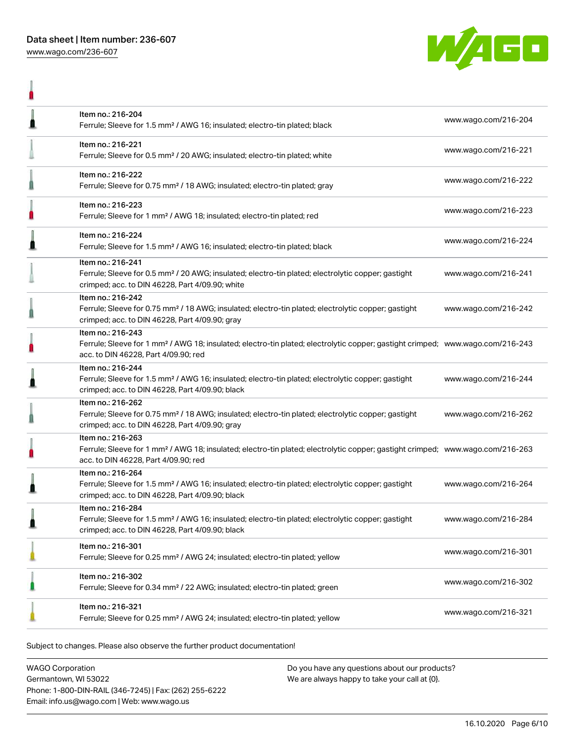

|   | Item no.: 216-204<br>Ferrule; Sleeve for 1.5 mm <sup>2</sup> / AWG 16; insulated; electro-tin plated; black                                                                                             | www.wago.com/216-204 |
|---|---------------------------------------------------------------------------------------------------------------------------------------------------------------------------------------------------------|----------------------|
|   | Item no.: 216-221<br>Ferrule; Sleeve for 0.5 mm <sup>2</sup> / 20 AWG; insulated; electro-tin plated; white                                                                                             | www.wago.com/216-221 |
|   | Item no.: 216-222<br>Ferrule; Sleeve for 0.75 mm <sup>2</sup> / 18 AWG; insulated; electro-tin plated; gray                                                                                             | www.wago.com/216-222 |
|   | Item no.: 216-223<br>Ferrule; Sleeve for 1 mm <sup>2</sup> / AWG 18; insulated; electro-tin plated; red                                                                                                 | www.wago.com/216-223 |
|   | Item no.: 216-224<br>Ferrule; Sleeve for 1.5 mm <sup>2</sup> / AWG 16; insulated; electro-tin plated; black                                                                                             | www.wago.com/216-224 |
|   | Item no.: 216-241<br>Ferrule; Sleeve for 0.5 mm <sup>2</sup> / 20 AWG; insulated; electro-tin plated; electrolytic copper; gastight<br>crimped; acc. to DIN 46228, Part 4/09.90; white                  | www.wago.com/216-241 |
|   | Item no.: 216-242<br>Ferrule; Sleeve for 0.75 mm <sup>2</sup> / 18 AWG; insulated; electro-tin plated; electrolytic copper; gastight<br>crimped; acc. to DIN 46228, Part 4/09.90; gray                  | www.wago.com/216-242 |
|   | Item no.: 216-243<br>Ferrule; Sleeve for 1 mm <sup>2</sup> / AWG 18; insulated; electro-tin plated; electrolytic copper; gastight crimped; www.wago.com/216-243<br>acc. to DIN 46228, Part 4/09.90; red |                      |
|   | Item no.: 216-244<br>Ferrule; Sleeve for 1.5 mm <sup>2</sup> / AWG 16; insulated; electro-tin plated; electrolytic copper; gastight<br>crimped; acc. to DIN 46228, Part 4/09.90; black                  | www.wago.com/216-244 |
|   | Item no.: 216-262<br>Ferrule; Sleeve for 0.75 mm <sup>2</sup> / 18 AWG; insulated; electro-tin plated; electrolytic copper; gastight<br>crimped; acc. to DIN 46228, Part 4/09.90; gray                  | www.wago.com/216-262 |
| Ë | Item no.: 216-263<br>Ferrule; Sleeve for 1 mm <sup>2</sup> / AWG 18; insulated; electro-tin plated; electrolytic copper; gastight crimped; www.wago.com/216-263<br>acc. to DIN 46228, Part 4/09.90; red |                      |
|   | Item no.: 216-264<br>Ferrule; Sleeve for 1.5 mm <sup>2</sup> / AWG 16; insulated; electro-tin plated; electrolytic copper; gastight<br>crimped; acc. to DIN 46228, Part 4/09.90; black                  | www.wago.com/216-264 |
|   | Item no.: 216-284<br>Ferrule; Sleeve for 1.5 mm <sup>2</sup> / AWG 16; insulated; electro-tin plated; electrolytic copper; gastight<br>crimped; acc. to DIN 46228, Part 4/09.90; black                  | www.wago.com/216-284 |
|   | Item no.: 216-301<br>Ferrule; Sleeve for 0.25 mm <sup>2</sup> / AWG 24; insulated; electro-tin plated; yellow                                                                                           | www.wago.com/216-301 |
|   | Item no.: 216-302<br>Ferrule; Sleeve for 0.34 mm <sup>2</sup> / 22 AWG; insulated; electro-tin plated; green                                                                                            | www.wago.com/216-302 |
|   | Item no.: 216-321<br>Ferrule; Sleeve for 0.25 mm <sup>2</sup> / AWG 24; insulated; electro-tin plated; yellow                                                                                           | www.wago.com/216-321 |

Subject to changes. Please also observe the further product documentation!

WAGO Corporation Germantown, WI 53022 Phone: 1-800-DIN-RAIL (346-7245) | Fax: (262) 255-6222 Email: info.us@wago.com | Web: www.wago.us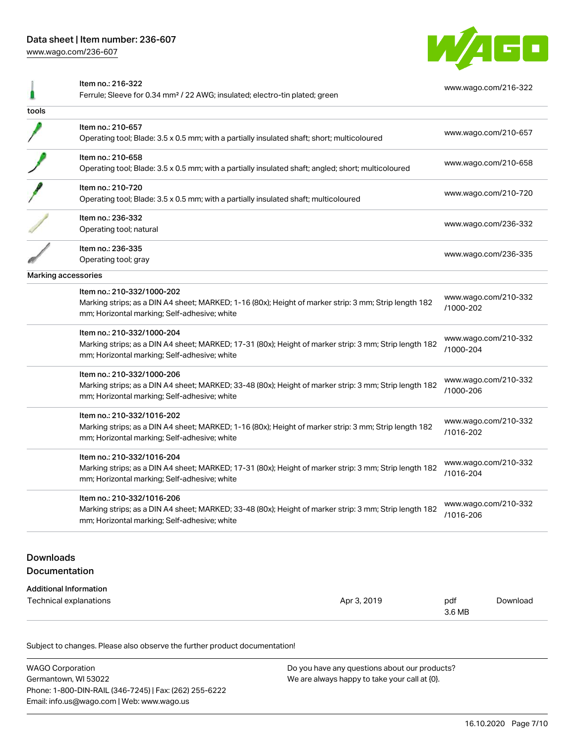[www.wago.com/236-607](http://www.wago.com/236-607)



|                               | Item no.: 216-322<br>Ferrule; Sleeve for 0.34 mm <sup>2</sup> / 22 AWG; insulated; electro-tin plated; green                                           |                                   | www.wago.com/216-322 |
|-------------------------------|--------------------------------------------------------------------------------------------------------------------------------------------------------|-----------------------------------|----------------------|
| tools                         |                                                                                                                                                        |                                   |                      |
|                               | Item no.: 210-657                                                                                                                                      |                                   |                      |
|                               | Operating tool; Blade: 3.5 x 0.5 mm; with a partially insulated shaft; short; multicoloured                                                            |                                   | www.wago.com/210-657 |
|                               | Item no.: 210-658                                                                                                                                      |                                   | www.wago.com/210-658 |
|                               | Operating tool; Blade: 3.5 x 0.5 mm; with a partially insulated shaft; angled; short; multicoloured                                                    |                                   |                      |
|                               | Item no.: 210-720                                                                                                                                      |                                   | www.wago.com/210-720 |
|                               | Operating tool; Blade: 3.5 x 0.5 mm; with a partially insulated shaft; multicoloured                                                                   |                                   |                      |
|                               | Item no.: 236-332                                                                                                                                      |                                   | www.wago.com/236-332 |
|                               | Operating tool; natural                                                                                                                                |                                   |                      |
|                               | Item no.: 236-335                                                                                                                                      |                                   | www.wago.com/236-335 |
|                               | Operating tool; gray                                                                                                                                   |                                   |                      |
| Marking accessories           |                                                                                                                                                        |                                   |                      |
|                               | Item no.: 210-332/1000-202                                                                                                                             |                                   |                      |
|                               | Marking strips; as a DIN A4 sheet; MARKED; 1-16 (80x); Height of marker strip: 3 mm; Strip length 182<br>mm; Horizontal marking; Self-adhesive; white  | www.wago.com/210-332<br>/1000-202 |                      |
|                               | Item no.: 210-332/1000-204                                                                                                                             |                                   |                      |
|                               | Marking strips; as a DIN A4 sheet; MARKED; 17-31 (80x); Height of marker strip: 3 mm; Strip length 182<br>mm; Horizontal marking; Self-adhesive; white | www.wago.com/210-332<br>/1000-204 |                      |
|                               | Item no.: 210-332/1000-206                                                                                                                             |                                   |                      |
|                               | Marking strips; as a DIN A4 sheet; MARKED; 33-48 (80x); Height of marker strip: 3 mm; Strip length 182<br>mm; Horizontal marking; Self-adhesive; white | www.wago.com/210-332<br>/1000-206 |                      |
|                               | Item no.: 210-332/1016-202                                                                                                                             |                                   |                      |
|                               | Marking strips; as a DIN A4 sheet; MARKED; 1-16 (80x); Height of marker strip: 3 mm; Strip length 182                                                  | www.wago.com/210-332<br>/1016-202 |                      |
|                               | mm; Horizontal marking; Self-adhesive; white                                                                                                           |                                   |                      |
|                               | Item no.: 210-332/1016-204                                                                                                                             |                                   |                      |
|                               | Marking strips; as a DIN A4 sheet; MARKED; 17-31 (80x); Height of marker strip: 3 mm; Strip length 182<br>mm; Horizontal marking; Self-adhesive; white | www.wago.com/210-332<br>/1016-204 |                      |
|                               | Item no.: 210-332/1016-206                                                                                                                             |                                   | www.wago.com/210-332 |
|                               | Marking strips; as a DIN A4 sheet; MARKED; 33-48 (80x); Height of marker strip: 3 mm; Strip length 182<br>mm; Horizontal marking; Self-adhesive; white | /1016-206                         |                      |
|                               |                                                                                                                                                        |                                   |                      |
| <b>Downloads</b>              |                                                                                                                                                        |                                   |                      |
| Documentation                 |                                                                                                                                                        |                                   |                      |
| <b>Additional Information</b> |                                                                                                                                                        |                                   |                      |
|                               | Technical explanations<br>Apr 3, 2019                                                                                                                  | pdf<br>3.6 MB                     | Download             |

Subject to changes. Please also observe the further product documentation!

| <b>WAGO Corporation</b>                                | Do you have any questions about our products? |
|--------------------------------------------------------|-----------------------------------------------|
| Germantown, WI 53022                                   | We are always happy to take your call at {0}. |
| Phone: 1-800-DIN-RAIL (346-7245)   Fax: (262) 255-6222 |                                               |
| Email: info.us@wago.com   Web: www.wago.us             |                                               |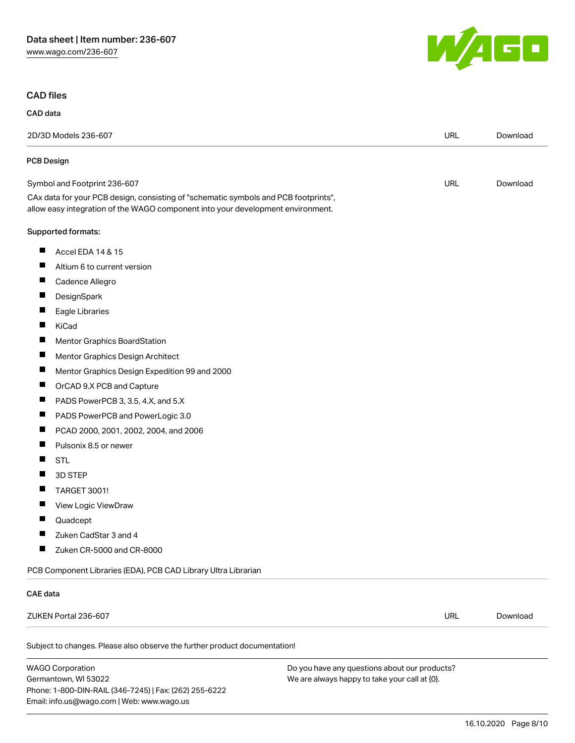Phone: 1-800-DIN-RAIL (346-7245) | Fax: (262) 255-6222

Email: info.us@wago.com | Web: www.wago.us



# CAD files

| CAD data                                                                                                                                                               |                                                                                                |            |          |
|------------------------------------------------------------------------------------------------------------------------------------------------------------------------|------------------------------------------------------------------------------------------------|------------|----------|
| 2D/3D Models 236-607                                                                                                                                                   |                                                                                                | <b>URL</b> | Download |
| <b>PCB Design</b>                                                                                                                                                      |                                                                                                |            |          |
| Symbol and Footprint 236-607                                                                                                                                           |                                                                                                | URL        | Download |
| CAx data for your PCB design, consisting of "schematic symbols and PCB footprints",<br>allow easy integration of the WAGO component into your development environment. |                                                                                                |            |          |
| Supported formats:                                                                                                                                                     |                                                                                                |            |          |
| ш<br>Accel EDA 14 & 15                                                                                                                                                 |                                                                                                |            |          |
| п<br>Altium 6 to current version                                                                                                                                       |                                                                                                |            |          |
| $\blacksquare$<br>Cadence Allegro                                                                                                                                      |                                                                                                |            |          |
| ш<br>DesignSpark                                                                                                                                                       |                                                                                                |            |          |
| ш<br>Eagle Libraries                                                                                                                                                   |                                                                                                |            |          |
| П<br>KiCad                                                                                                                                                             |                                                                                                |            |          |
| L<br>Mentor Graphics BoardStation                                                                                                                                      |                                                                                                |            |          |
| ш<br>Mentor Graphics Design Architect                                                                                                                                  |                                                                                                |            |          |
| п<br>Mentor Graphics Design Expedition 99 and 2000                                                                                                                     |                                                                                                |            |          |
| п<br>OrCAD 9.X PCB and Capture                                                                                                                                         |                                                                                                |            |          |
| $\overline{\phantom{a}}$<br>PADS PowerPCB 3, 3.5, 4.X, and 5.X                                                                                                         |                                                                                                |            |          |
| п<br>PADS PowerPCB and PowerLogic 3.0                                                                                                                                  |                                                                                                |            |          |
| $\overline{\phantom{a}}$<br>PCAD 2000, 2001, 2002, 2004, and 2006                                                                                                      |                                                                                                |            |          |
| П<br>Pulsonix 8.5 or newer                                                                                                                                             |                                                                                                |            |          |
| П<br><b>STL</b>                                                                                                                                                        |                                                                                                |            |          |
| 3D STEP                                                                                                                                                                |                                                                                                |            |          |
| п<br><b>TARGET 3001!</b>                                                                                                                                               |                                                                                                |            |          |
| п<br>View Logic ViewDraw                                                                                                                                               |                                                                                                |            |          |
| ш<br>Quadcept                                                                                                                                                          |                                                                                                |            |          |
| H<br>Zuken CadStar 3 and 4                                                                                                                                             |                                                                                                |            |          |
| Zuken CR-5000 and CR-8000                                                                                                                                              |                                                                                                |            |          |
| PCB Component Libraries (EDA), PCB CAD Library Ultra Librarian                                                                                                         |                                                                                                |            |          |
| CAE data                                                                                                                                                               |                                                                                                |            |          |
| ZUKEN Portal 236-607                                                                                                                                                   |                                                                                                | URL        | Download |
| Subject to changes. Please also observe the further product documentation!                                                                                             |                                                                                                |            |          |
| <b>WAGO Corporation</b><br>Germantown, WI 53022                                                                                                                        | Do you have any questions about our products?<br>We are always happy to take your call at {0}. |            |          |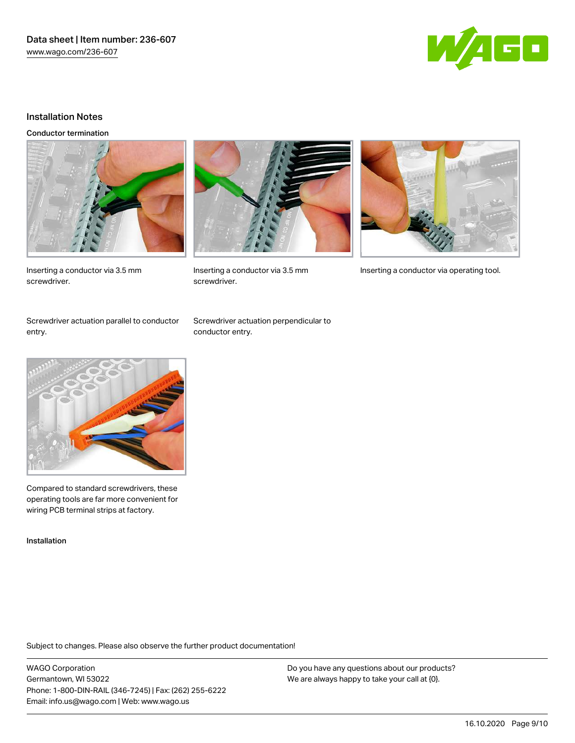

### Installation Notes

Conductor termination



screwdriver.



Inserting a conductor via 3.5 mm Inserting a conductor via operating tool.

Inserting a conductor via 3.5 mm screwdriver.

Screwdriver actuation parallel to conductor entry.

Screwdriver actuation perpendicular to conductor entry.



Compared to standard screwdrivers, these operating tools are far more convenient for wiring PCB terminal strips at factory.

Installation

Subject to changes. Please also observe the further product documentation!

WAGO Corporation Germantown, WI 53022 Phone: 1-800-DIN-RAIL (346-7245) | Fax: (262) 255-6222 Email: info.us@wago.com | Web: www.wago.us